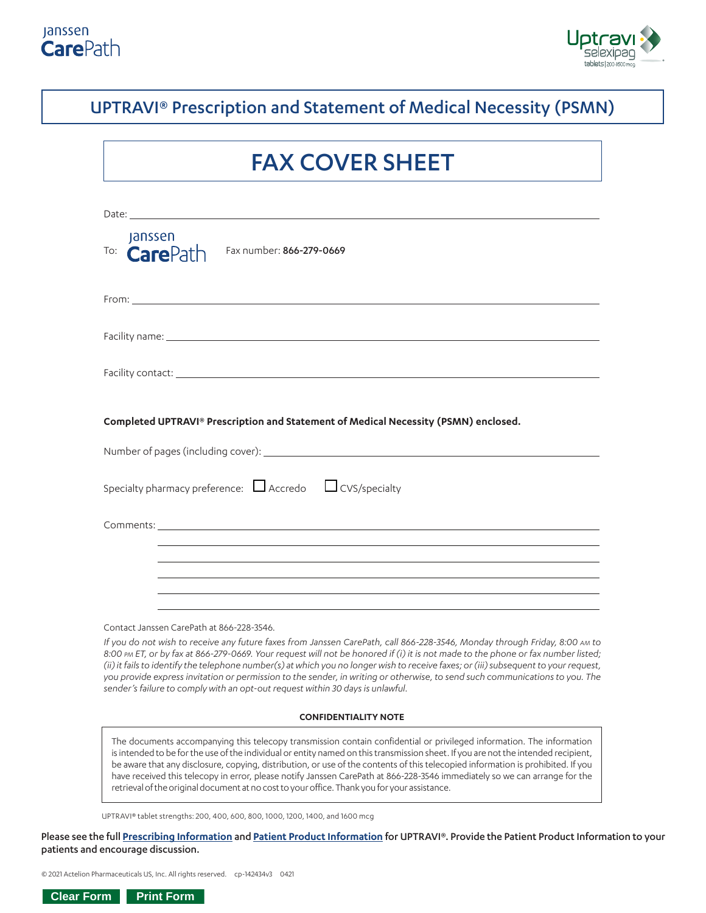



## UPTRAVI® Prescription and Statement of Medical Necessity (PSMN)

# FAX COVER SHEET

| Date: <u>contract the contract of the contract of the contract of the contract of the contract of the contract of the contract of the contract of the contract of the contract of the contract of the contract of the contract o</u> |  |  |  |  |
|--------------------------------------------------------------------------------------------------------------------------------------------------------------------------------------------------------------------------------------|--|--|--|--|
| <b>Janssen</b><br>To: $CarePath$ Fax number: 866-279-0669                                                                                                                                                                            |  |  |  |  |
|                                                                                                                                                                                                                                      |  |  |  |  |
|                                                                                                                                                                                                                                      |  |  |  |  |
|                                                                                                                                                                                                                                      |  |  |  |  |
| Completed UPTRAVI® Prescription and Statement of Medical Necessity (PSMN) enclosed.                                                                                                                                                  |  |  |  |  |
|                                                                                                                                                                                                                                      |  |  |  |  |
| Specialty pharmacy preference: $\Box$ Accredo $\Box$ CVS/specialty                                                                                                                                                                   |  |  |  |  |
|                                                                                                                                                                                                                                      |  |  |  |  |
|                                                                                                                                                                                                                                      |  |  |  |  |
|                                                                                                                                                                                                                                      |  |  |  |  |
|                                                                                                                                                                                                                                      |  |  |  |  |
| Contact Janssen CarePath at 866-228-3546.                                                                                                                                                                                            |  |  |  |  |

*If you do not wish to receive any future faxes from Janssen CarePath, call 866-228-3546, Monday through Friday, 8:00 AM to 8:00 PM ET, or by fax at 866-279-0669. Your request will not be honored if (i) it is not made to the phone or fax number listed; (ii) it fails to identify the telephone number(s) at which you no longer wish to receive faxes; or (iii) subsequent to your request, you provide express invitation or permission to the sender, in writing or otherwise, to send such communications to you. The*  sender's failure to comply with an opt-out request within 30 days is unlawful.

#### **CONFIDENTIALITY NOTE**

The documents accompanying this telecopy transmission contain confidential or privileged information. The information is intended to be for the use of the individual or entity named on this transmission sheet. If you are not the intended recipient, be aware that any disclosure, copying, distribution, or use of the contents of this telecopied information is prohibited. If you have received this telecopy in error, please notify Janssen CarePath at 866-228-3546 immediately so we can arrange for the retrieval of the original document at no cost to your office. Thank you for your assistance.

UPTRAVI® tablet strengths: 200, 400, 600, 800, 1000, 1200, 1400, and 1600 mcg

Please see the full **[Prescribing Information](https://www.janssenlabels.com/package-insert/product-monograph/prescribing-information/UPTRAVI-pi.pdf)** and **[Patient Product Information](https://www.janssenlabels.com/package-insert/product-monograph/prescribing-information/UPTRAVI-pi.pdf#page=6)** for UPTRAVI®. Provide the Patient Product Information to your patients and encourage discussion.

© 2021 Actelion Pharmaceuticals US, Inc. All rights reserved. cp-142434v3 0421

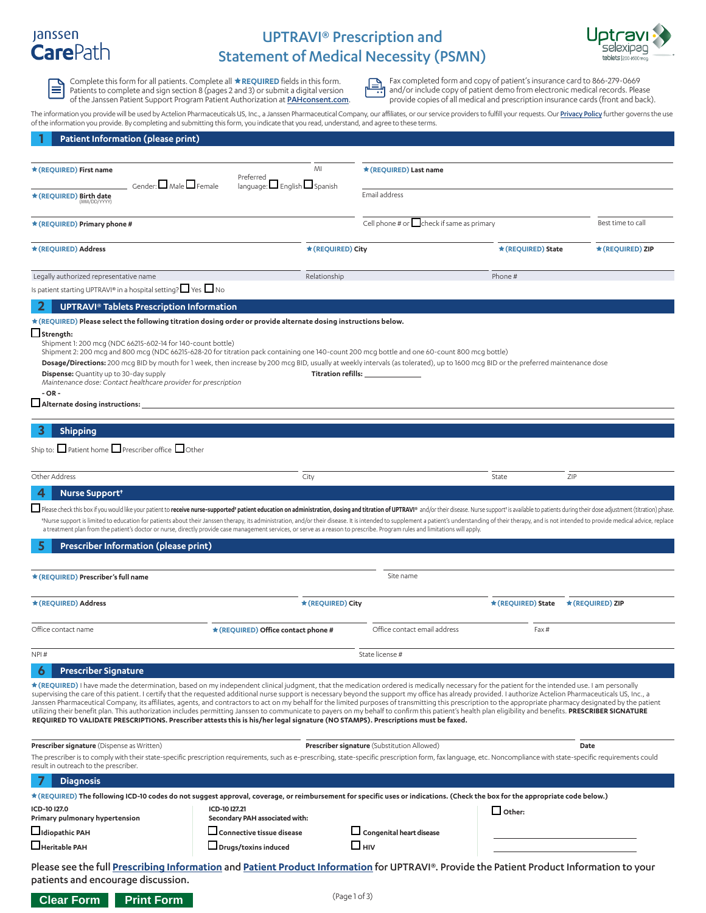## **Janssen CarePath**

 $\equiv$ 

## UPTRAVI® Prescription and Statement of Medical Necessity (PSMN)



Complete this form for all patients. Complete all **REQUIRED** fields in this form.<br>Patients to complete and sign section 8 (pages 2 and 3) or submit a digital version and *and*/or include copy of patient demo from electroni of the Janssen Patient Support Program Patient Authorization at **[PAHconsent.com](https://pah.ehipaa.com/)**. provide copies of all medical and prescription insurance cards (front and back).

Patients to complete and sign section 8 (pages 2 and 3) or submit a digital version **and and/or include copy of patient demo from electronic medical records. Please** 

The information you provide will be used by Actelion Pharmaceuticals US, Inc., a Janssen Pharmaceutical Company, our affiliates, or our service providers to fulfill your requests. Our [Privacy Policy](https://www.janssencarepath.com/privacy-policy) further governs the use of the information you provide. By completing and submitting this form, you indicate that you read, understand, and agree to these terms.

| Patient Information (please print)                                                                                                                                                                                                                                                                                                                                                                                                                                                                                                                                                                                                                                                                                                                                                                                                                                                                                                                                             |                                                                  |                                                 |                    |                                           |
|--------------------------------------------------------------------------------------------------------------------------------------------------------------------------------------------------------------------------------------------------------------------------------------------------------------------------------------------------------------------------------------------------------------------------------------------------------------------------------------------------------------------------------------------------------------------------------------------------------------------------------------------------------------------------------------------------------------------------------------------------------------------------------------------------------------------------------------------------------------------------------------------------------------------------------------------------------------------------------|------------------------------------------------------------------|-------------------------------------------------|--------------------|-------------------------------------------|
|                                                                                                                                                                                                                                                                                                                                                                                                                                                                                                                                                                                                                                                                                                                                                                                                                                                                                                                                                                                |                                                                  |                                                 |                    |                                           |
| ★ (REQUIRED) First name<br>$G$ ender: $\Box$ Male $\Box$ Female                                                                                                                                                                                                                                                                                                                                                                                                                                                                                                                                                                                                                                                                                                                                                                                                                                                                                                                | MI<br>Preferred<br>language: $\square$ English $\square$ Spanish | * (REQUIRED) Last name                          |                    |                                           |
| * (REOUIRED) Birth date<br>(MM/DD/YYYY)                                                                                                                                                                                                                                                                                                                                                                                                                                                                                                                                                                                                                                                                                                                                                                                                                                                                                                                                        |                                                                  | Email address                                   |                    |                                           |
| $\star$ (REQUIRED) Primary phone #                                                                                                                                                                                                                                                                                                                                                                                                                                                                                                                                                                                                                                                                                                                                                                                                                                                                                                                                             |                                                                  | Cell phone # or $\Box$ check if same as primary |                    | Best time to call<br>$\blacktriangledown$ |
| * (REQUIRED) Address                                                                                                                                                                                                                                                                                                                                                                                                                                                                                                                                                                                                                                                                                                                                                                                                                                                                                                                                                           | * (REQUIRED) City                                                |                                                 | * (REQUIRED) State | ★ (REQUIRED) ZIP                          |
| Legally authorized representative name                                                                                                                                                                                                                                                                                                                                                                                                                                                                                                                                                                                                                                                                                                                                                                                                                                                                                                                                         | Relationship                                                     |                                                 | Phone #            |                                           |
| Is patient starting UPTRAVI® in a hospital setting? $\Box$ Yes $\Box$ No                                                                                                                                                                                                                                                                                                                                                                                                                                                                                                                                                                                                                                                                                                                                                                                                                                                                                                       |                                                                  |                                                 |                    |                                           |
| <b>UPTRAVI<sup>®</sup> Tablets Prescription Information</b>                                                                                                                                                                                                                                                                                                                                                                                                                                                                                                                                                                                                                                                                                                                                                                                                                                                                                                                    |                                                                  |                                                 |                    |                                           |
| * (REQUIRED) Please select the following titration dosing order or provide alternate dosing instructions below.<br>$\Box$ Strength:<br>Shipment 1: 200 mcg (NDC 66215-602-14 for 140-count bottle)<br>Shipment 2: 200 mcg and 800 mcg (NDC 66215-628-20 for titration pack containing one 140-count 200 mcg bottle and one 60-count 800 mcg bottle)<br>Dosage/Directions: 200 mcq BID by mouth for 1 week, then increase by 200 mcq BID, usually at weekly intervals (as tolerated), up to 1600 mcq BID or the preferred maintenance dose<br><b>Dispense:</b> Quantity up to 30-day supply<br>Maintenance dose: Contact healthcare provider for prescription<br>$-OR -$<br>Alternate dosing instructions:                                                                                                                                                                                                                                                                      |                                                                  | <b>Titration refills:</b>                       |                    |                                           |
|                                                                                                                                                                                                                                                                                                                                                                                                                                                                                                                                                                                                                                                                                                                                                                                                                                                                                                                                                                                |                                                                  |                                                 |                    |                                           |
| <b>Shipping</b>                                                                                                                                                                                                                                                                                                                                                                                                                                                                                                                                                                                                                                                                                                                                                                                                                                                                                                                                                                |                                                                  |                                                 |                    |                                           |
| Ship to: $\square$ Patient home $\square$ Prescriber office $\square$ Other                                                                                                                                                                                                                                                                                                                                                                                                                                                                                                                                                                                                                                                                                                                                                                                                                                                                                                    |                                                                  |                                                 |                    |                                           |
| Other Address                                                                                                                                                                                                                                                                                                                                                                                                                                                                                                                                                                                                                                                                                                                                                                                                                                                                                                                                                                  | City                                                             |                                                 | State              | ZIP                                       |
| Nurse Support <sup>+</sup>                                                                                                                                                                                                                                                                                                                                                                                                                                                                                                                                                                                                                                                                                                                                                                                                                                                                                                                                                     |                                                                  |                                                 |                    |                                           |
| *Nurse support is limited to education for patients about their Janssen therapy, its administration, and/or their disease. It is intended to supplement a patient's understanding of their therapy, and is not intended to pro<br>a treatment plan from the patient's doctor or nurse, directly provide case management services, or serve as a reason to prescribe. Program rules and limitations will apply.<br>Prescriber Information (please print)                                                                                                                                                                                                                                                                                                                                                                                                                                                                                                                        |                                                                  |                                                 |                    |                                           |
| * (REQUIRED) Prescriber's full name                                                                                                                                                                                                                                                                                                                                                                                                                                                                                                                                                                                                                                                                                                                                                                                                                                                                                                                                            |                                                                  | Site name                                       |                    |                                           |
| * (REQUIRED) Address                                                                                                                                                                                                                                                                                                                                                                                                                                                                                                                                                                                                                                                                                                                                                                                                                                                                                                                                                           | ★ (REQUIRED) City                                                |                                                 | ★ (REQUIRED) State | ★ (REQUIRED) ZIP                          |
| Office contact name                                                                                                                                                                                                                                                                                                                                                                                                                                                                                                                                                                                                                                                                                                                                                                                                                                                                                                                                                            | * (REQUIRED) Office contact phone #                              | Office contact email address                    | Fax #              |                                           |
| NPI#                                                                                                                                                                                                                                                                                                                                                                                                                                                                                                                                                                                                                                                                                                                                                                                                                                                                                                                                                                           |                                                                  | State license #                                 |                    |                                           |
| <b>Prescriber Signature</b><br>Ô                                                                                                                                                                                                                                                                                                                                                                                                                                                                                                                                                                                                                                                                                                                                                                                                                                                                                                                                               |                                                                  |                                                 |                    |                                           |
| * (REQUIRED) I have made the determination, based on my independent clinical judgment, that the medication ordered is medically necessary for the patient for the intended use. I am personally<br>supervising the care of this patient. I certify that the requested additional nurse support is necessary beyond the support my office has already provided. I authorize Actelion Pharmaceuticals US, Inc., a<br>Janssen Pharmaceutical Company, its affiliates, agents, and contractors to act on my behalf for the limited purposes of transmitting this prescription to the appropriate pharmacy designated by the patient<br>utilizing their benefit plan. This authorization includes permitting Janssen to communicate to payers on my behalf to confirm this patient's health plan eligibility and benefits. PRESCRIBER SIGNATURE<br>REQUIRED TO VALIDATE PRESCRIPTIONS. Prescriber attests this is his/her legal signature (NO STAMPS). Prescriptions must be faxed. |                                                                  |                                                 |                    |                                           |
| <b>Prescriber signature</b> (Dispense as Written)<br>The prescriber is to comply with their state-specific prescription requirements, such as e-prescribing, state-specific prescription form, fax language, etc. Noncompliance with state-specific requirements could<br>result in outreach to the prescriber.                                                                                                                                                                                                                                                                                                                                                                                                                                                                                                                                                                                                                                                                |                                                                  | Prescriber signature (Substitution Allowed)     |                    | Date                                      |
| <b>Diagnosis</b>                                                                                                                                                                                                                                                                                                                                                                                                                                                                                                                                                                                                                                                                                                                                                                                                                                                                                                                                                               |                                                                  |                                                 |                    |                                           |
| * (REQUIRED) The following ICD-10 codes do not suggest approval, coverage, or reimbursement for specific uses or indications. (Check the box for the appropriate code below.)                                                                                                                                                                                                                                                                                                                                                                                                                                                                                                                                                                                                                                                                                                                                                                                                  |                                                                  |                                                 |                    |                                           |
| ICD-10 I27.0                                                                                                                                                                                                                                                                                                                                                                                                                                                                                                                                                                                                                                                                                                                                                                                                                                                                                                                                                                   | ICD-10 I27.21                                                    |                                                 | $\Box$ Other:      |                                           |
| Primary pulmonary hypertension                                                                                                                                                                                                                                                                                                                                                                                                                                                                                                                                                                                                                                                                                                                                                                                                                                                                                                                                                 | Secondary PAH associated with:                                   |                                                 |                    |                                           |
| Idiopathic PAH                                                                                                                                                                                                                                                                                                                                                                                                                                                                                                                                                                                                                                                                                                                                                                                                                                                                                                                                                                 | Connective tissue disease                                        | $\Box$ Congenital heart disease                 |                    |                                           |
| Heritable PAH                                                                                                                                                                                                                                                                                                                                                                                                                                                                                                                                                                                                                                                                                                                                                                                                                                                                                                                                                                  | $\Box$ Drugs/toxins induced                                      | $\Box$ HIV                                      |                    |                                           |
| Please see the full Prescribing Information and Patient Product Information for UPTRAVI®. Provide the Patient Product Information to your                                                                                                                                                                                                                                                                                                                                                                                                                                                                                                                                                                                                                                                                                                                                                                                                                                      |                                                                  |                                                 |                    |                                           |

patients and encourage discussion. **Clear Form Print Form**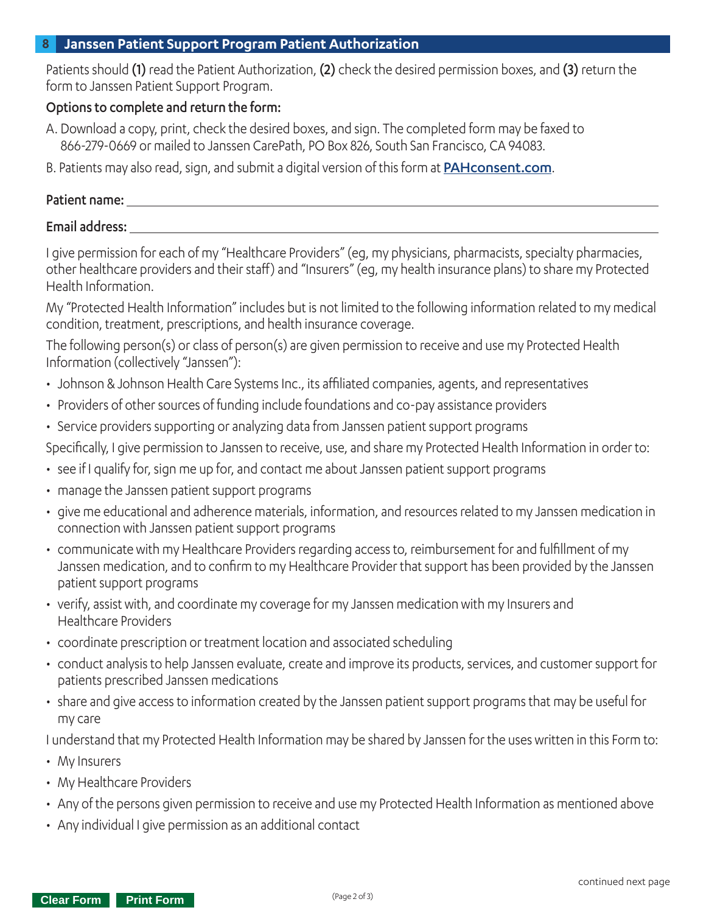#### **8 Janssen Patient Support Program Patient Authorization**

Patients should (1) read the Patient Authorization, (2) check the desired permission boxes, and (3) return the form to Janssen Patient Support Program.

### Options to complete and return the form:

- A. Download a copy, print, check the desired boxes, and sign. The completed form may be faxed to 866-279-0669 or mailed to Janssen CarePath, PO Box 826, South San Francisco, CA 94083.
- B. Patients may also read, sign, and submit a digital version of this form at **[PAHconsent.com](https://pah.ehipaa.com/).**

## Patient name:

#### Email address:

I give permission for each of my "Healthcare Providers" (eg, my physicians, pharmacists, specialty pharmacies, other healthcare providers and their staff) and "Insurers" (eg, my health insurance plans) to share my Protected Health Information.

My "Protected Health Information" includes but is not limited to the following information related to my medical condition, treatment, prescriptions, and health insurance coverage.

The following person(s) or class of person(s) are given permission to receive and use my Protected Health Information (collectively "Janssen"):

- Johnson & Johnson Health Care Systems Inc., its affiliated companies, agents, and representatives
- Providers of other sources of funding include foundations and co-pay assistance providers
- Service providers supporting or analyzing data from Janssen patient support programs

Specifically, I give permission to Janssen to receive, use, and share my Protected Health Information in order to:

- see if I qualify for, sign me up for, and contact me about Janssen patient support programs
- manage the Janssen patient support programs
- give me educational and adherence materials, information, and resources related to my Janssen medication in connection with Janssen patient support programs
- communicate with my Healthcare Providers regarding access to, reimbursement for and fulfillment of my Janssen medication, and to confirm to my Healthcare Provider that support has been provided by the Janssen patient support programs
- verify, assist with, and coordinate my coverage for my Janssen medication with my Insurers and Healthcare Providers
- coordinate prescription or treatment location and associated scheduling
- conduct analysis to help Janssen evaluate, create and improve its products, services, and customer support for patients prescribed Janssen medications
- share and give access to information created by the Janssen patient support programs that may be useful for my care

I understand that my Protected Health Information may be shared by Janssen for the uses written in this Form to:

- My Insurers
- My Healthcare Providers
- Any of the persons given permission to receive and use my Protected Health Information as mentioned above
- Any individual I give permission as an additional contact